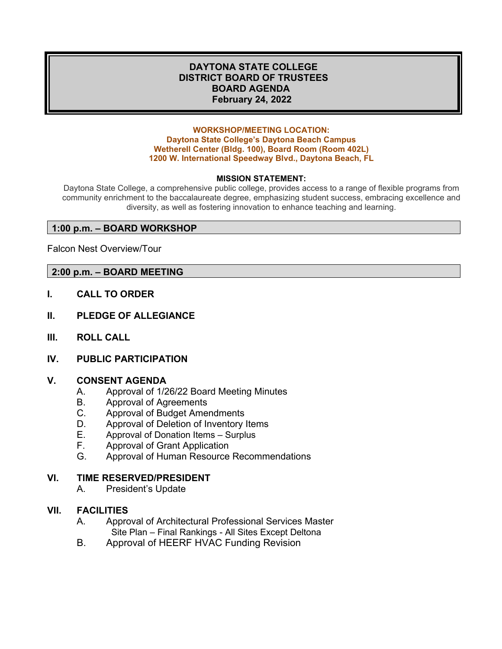## **DAYTONA STATE COLLEGE DISTRICT BOARD OF TRUSTEES BOARD AGENDA February 24, 2022**

#### **WORKSHOP/MEETING LOCATION: Daytona State College's Daytona Beach Campus Wetherell Center (Bldg. 100), Board Room (Room 402L) 1200 W. International Speedway Blvd., Daytona Beach, FL**

#### **MISSION STATEMENT:**

Daytona State College, a comprehensive public college, provides access to a range of flexible programs from community enrichment to the baccalaureate degree, emphasizing student success, embracing excellence and diversity, as well as fostering innovation to enhance teaching and learning.

#### **1:00 p.m. – BOARD WORKSHOP**

Falcon Nest Overview/Tour

#### **2:00 p.m. – BOARD MEETING**

- **I. CALL TO ORDER**
- **II. PLEDGE OF ALLEGIANCE**
- **III. ROLL CALL**
- **IV. PUBLIC PARTICIPATION**

#### **V. CONSENT AGENDA**

- A. Approval of 1/26/22 Board Meeting Minutes<br>B. Approval of Agreements
- Approval of Agreements
- C. Approval of Budget Amendments
- D. Approval of Deletion of Inventory Items
- E. Approval of Donation Items Surplus
- F. Approval of Grant Application<br>G. Approval of Human Resource
- Approval of Human Resource Recommendations

#### **VI. TIME RESERVED/PRESIDENT**

A. President's Update

## **VII. FACILITIES**

- A. Approval of Architectural Professional Services Master Site Plan – Final Rankings - All Sites Except Deltona
- B. Approval of HEERF HVAC Funding Revision